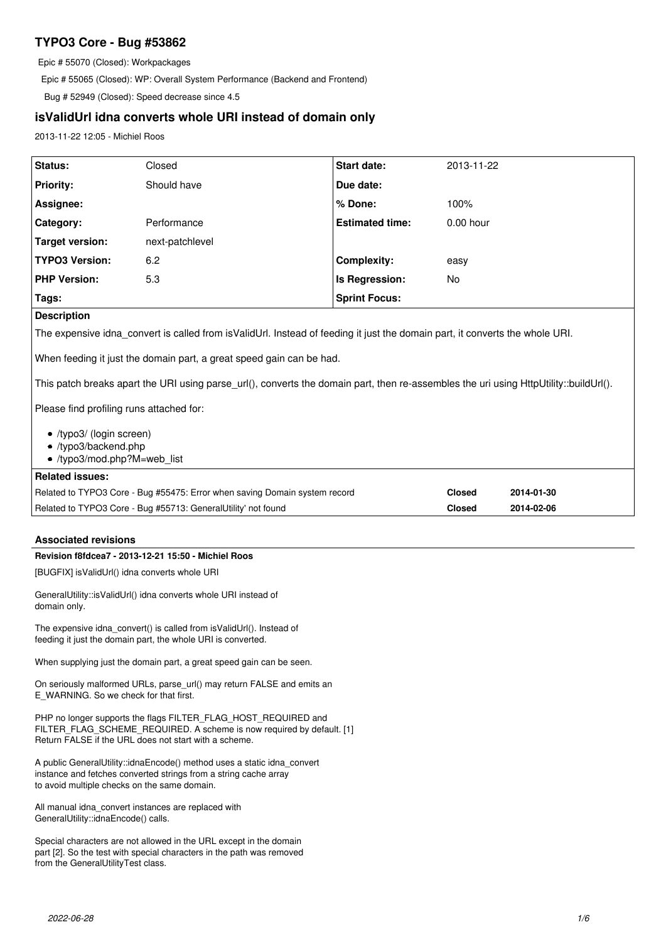# **TYPO3 Core - Bug #53862**

Epic # 55070 (Closed): Workpackages

Epic # 55065 (Closed): WP: Overall System Performance (Backend and Frontend)

Bug # 52949 (Closed): Speed decrease since 4.5

# **isValidUrl idna converts whole URI instead of domain only**

2013-11-22 12:05 - Michiel Roos

| Status:                                                                                                                                                                                                       | Closed          | <b>Start date:</b>     | 2013-11-22    |            |  |  |
|---------------------------------------------------------------------------------------------------------------------------------------------------------------------------------------------------------------|-----------------|------------------------|---------------|------------|--|--|
| <b>Priority:</b>                                                                                                                                                                                              | Should have     | Due date:              |               |            |  |  |
| Assignee:                                                                                                                                                                                                     |                 | % Done:                | 100%          |            |  |  |
| Category:                                                                                                                                                                                                     | Performance     | <b>Estimated time:</b> | $0.00$ hour   |            |  |  |
| <b>Target version:</b>                                                                                                                                                                                        | next-patchlevel |                        |               |            |  |  |
| <b>TYPO3 Version:</b>                                                                                                                                                                                         | 6.2             | <b>Complexity:</b>     | easy          |            |  |  |
| <b>PHP Version:</b>                                                                                                                                                                                           | 5.3             | Is Regression:         | No            |            |  |  |
| Tags:                                                                                                                                                                                                         |                 | <b>Sprint Focus:</b>   |               |            |  |  |
| <b>Description</b>                                                                                                                                                                                            |                 |                        |               |            |  |  |
| The expensive idna_convert is called from isValidUrl. Instead of feeding it just the domain part, it converts the whole URI.                                                                                  |                 |                        |               |            |  |  |
| When feeding it just the domain part, a great speed gain can be had.<br>This patch breaks apart the URI using parse_url(), converts the domain part, then re-assembles the uri using HttpUtility::buildUrl(). |                 |                        |               |            |  |  |
| Please find profiling runs attached for:<br>• /typo3/ (login screen)                                                                                                                                          |                 |                        |               |            |  |  |
| • /typo3/backend.php                                                                                                                                                                                          |                 |                        |               |            |  |  |
| • /typo3/mod.php?M=web list                                                                                                                                                                                   |                 |                        |               |            |  |  |
| <b>Related issues:</b>                                                                                                                                                                                        |                 |                        |               |            |  |  |
| Related to TYPO3 Core - Bug #55475: Error when saving Domain system record                                                                                                                                    |                 |                        | <b>Closed</b> | 2014-01-30 |  |  |
| Related to TYPO3 Core - Bug #55713: GeneralUtility' not found                                                                                                                                                 |                 |                        | <b>Closed</b> | 2014-02-06 |  |  |

# **Associated revisions**

### **Revision f8fdcea7 - 2013-12-21 15:50 - Michiel Roos**

[BUGFIX] isValidUrl() idna converts whole URI

GeneralUtility::isValidUrl() idna converts whole URI instead of domain only.

The expensive idna\_convert() is called from isValidUrl(). Instead of feeding it just the domain part, the whole URI is converted.

When supplying just the domain part, a great speed gain can be seen.

On seriously malformed URLs, parse\_url() may return FALSE and emits an E\_WARNING. So we check for that first.

PHP no longer supports the flags FILTER\_FLAG\_HOST\_REQUIRED and FILTER\_FLAG\_SCHEME\_REQUIRED. A scheme is now required by default. [1] Return FALSE if the URL does not start with a scheme.

A public GeneralUtility::idnaEncode() method uses a static idna\_convert instance and fetches converted strings from a string cache array to avoid multiple checks on the same domain.

All manual idna\_convert instances are replaced with GeneralUtility::idnaEncode() calls.

Special characters are not allowed in the URL except in the domain part [2]. So the test with special characters in the path was removed from the GeneralUtilityTest class.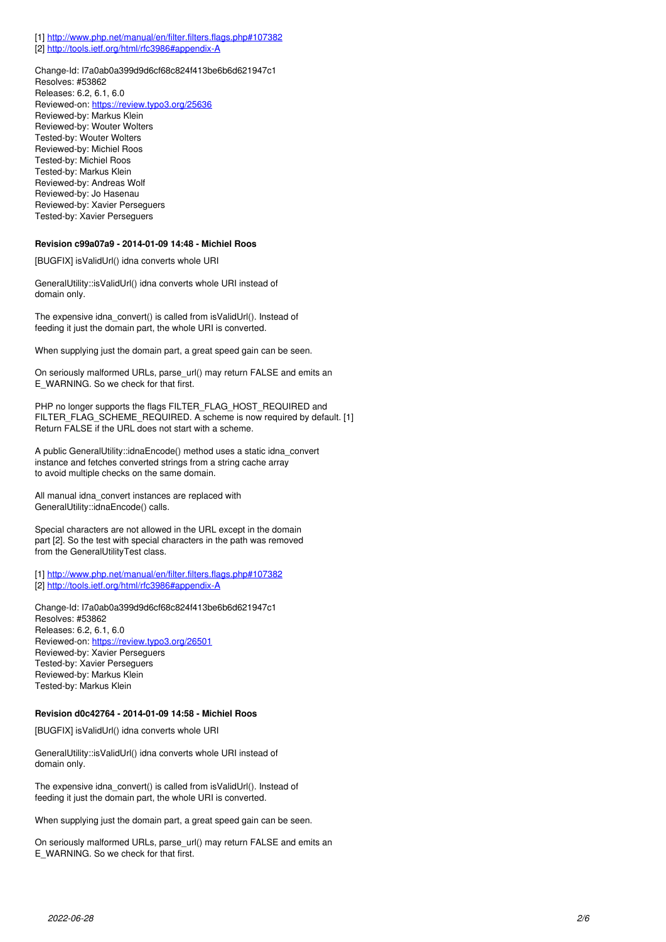[1]<http://www.php.net/manual/en/filter.filters.flags.php#107382> [2]<http://tools.ietf.org/html/rfc3986#appendix-A>

Change-Id: I7a0ab0a399d9d6cf68c824f413be6b6d621947c1 Resolves: #53862 Releases: 6.2, 6.1, 6.0 Reviewed-on:<https://review.typo3.org/25636> Reviewed-by: Markus Klein Reviewed-by: Wouter Wolters Tested-by: Wouter Wolters Reviewed-by: Michiel Roos Tested-by: Michiel Roos Tested-by: Markus Klein Reviewed-by: Andreas Wolf Reviewed-by: Jo Hasenau Reviewed-by: Xavier Perseguers Tested-by: Xavier Perseguers

#### **Revision c99a07a9 - 2014-01-09 14:48 - Michiel Roos**

[BUGFIX] isValidUrl() idna converts whole URI

GeneralUtility::isValidUrl() idna converts whole URI instead of domain only.

The expensive idna\_convert() is called from isValidUrl(). Instead of feeding it just the domain part, the whole URI is converted.

When supplying just the domain part, a great speed gain can be seen.

On seriously malformed URLs, parse\_url() may return FALSE and emits an E\_WARNING. So we check for that first.

PHP no longer supports the flags FILTER\_FLAG\_HOST\_REQUIRED and FILTER\_FLAG\_SCHEME\_REQUIRED. A scheme is now required by default. [1] Return FALSE if the URL does not start with a scheme.

A public GeneralUtility::idnaEncode() method uses a static idna\_convert instance and fetches converted strings from a string cache array to avoid multiple checks on the same domain.

All manual idna\_convert instances are replaced with GeneralUtility::idnaEncode() calls.

Special characters are not allowed in the URL except in the domain part [2]. So the test with special characters in the path was removed from the GeneralUtilityTest class.

[1]<http://www.php.net/manual/en/filter.filters.flags.php#107382> [2]<http://tools.ietf.org/html/rfc3986#appendix-A>

Change-Id: I7a0ab0a399d9d6cf68c824f413be6b6d621947c1 Resolves: #53862 Releases: 6.2, 6.1, 6.0 Reviewed-on:<https://review.typo3.org/26501> Reviewed-by: Xavier Perseguers Tested-by: Xavier Perseguers Reviewed-by: Markus Klein Tested-by: Markus Klein

### **Revision d0c42764 - 2014-01-09 14:58 - Michiel Roos**

[BUGFIX] isValidUrl() idna converts whole URI

GeneralUtility::isValidUrl() idna converts whole URI instead of domain only.

The expensive idna\_convert() is called from isValidUrl(). Instead of feeding it just the domain part, the whole URI is converted.

When supplying just the domain part, a great speed gain can be seen.

On seriously malformed URLs, parse\_url() may return FALSE and emits an E\_WARNING. So we check for that first.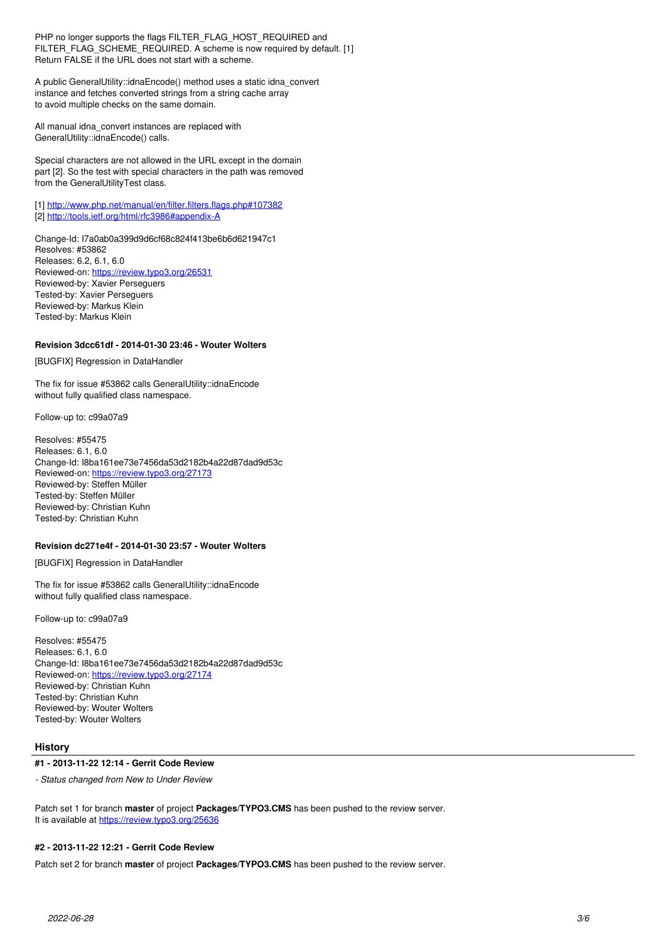PHP no longer supports the flags FILTER\_FLAG\_HOST\_REQUIRED and FILTER\_FLAG\_SCHEME\_REQUIRED. A scheme is now required by default. [1] Return FALSE if the URL does not start with a scheme.

A public GeneralUtility::idnaEncode() method uses a static idna\_convert instance and fetches converted strings from a string cache array to avoid multiple checks on the same domain.

All manual idna\_convert instances are replaced with GeneralUtility::idnaEncode() calls.

Special characters are not allowed in the URL except in the domain part [2]. So the test with special characters in the path was removed from the GeneralUtilityTest class.

[1]<http://www.php.net/manual/en/filter.filters.flags.php#107382> [2]<http://tools.ietf.org/html/rfc3986#appendix-A>

Change-Id: I7a0ab0a399d9d6cf68c824f413be6b6d621947c1 Resolves: #53862 Releases: 6.2, 6.1, 6.0 Reviewed-on:<https://review.typo3.org/26531> Reviewed-by: Xavier Perseguers Tested-by: Xavier Perseguers Reviewed-by: Markus Klein Tested-by: Markus Klein

# **Revision 3dcc61df - 2014-01-30 23:46 - Wouter Wolters**

[BUGFIX] Regression in DataHandler

The fix for issue #53862 calls GeneralUtility::idnaEncode without fully qualified class namespace.

Follow-up to: c99a07a9

Resolves: #55475 Releases: 6.1, 6.0 Change-Id: I8ba161ee73e7456da53d2182b4a22d87dad9d53c Reviewed-on:<https://review.typo3.org/27173> Reviewed-by: Steffen Müller Tested-by: Steffen Müller Reviewed-by: Christian Kuhn Tested-by: Christian Kuhn

### **Revision dc271e4f - 2014-01-30 23:57 - Wouter Wolters**

[BUGFIX] Regression in DataHandler

The fix for issue #53862 calls GeneralUtility::idnaEncode without fully qualified class namespace.

Follow-up to: c99a07a9

Resolves: #55475 Releases: 6.1, 6.0 Change-Id: I8ba161ee73e7456da53d2182b4a22d87dad9d53c Reviewed-on:<https://review.typo3.org/27174> Reviewed-by: Christian Kuhn Tested-by: Christian Kuhn Reviewed-by: Wouter Wolters Tested-by: Wouter Wolters

### **History**

#### **#1 - 2013-11-22 12:14 - Gerrit Code Review**

*- Status changed from New to Under Review*

Patch set 1 for branch **master** of project **Packages/TYPO3.CMS** has been pushed to the review server. It is available at <https://review.typo3.org/25636>

#### **#2 - 2013-11-22 12:21 - Gerrit Code Review**

Patch set 2 for branch **master** of project **Packages/TYPO3.CMS** has been pushed to the review server.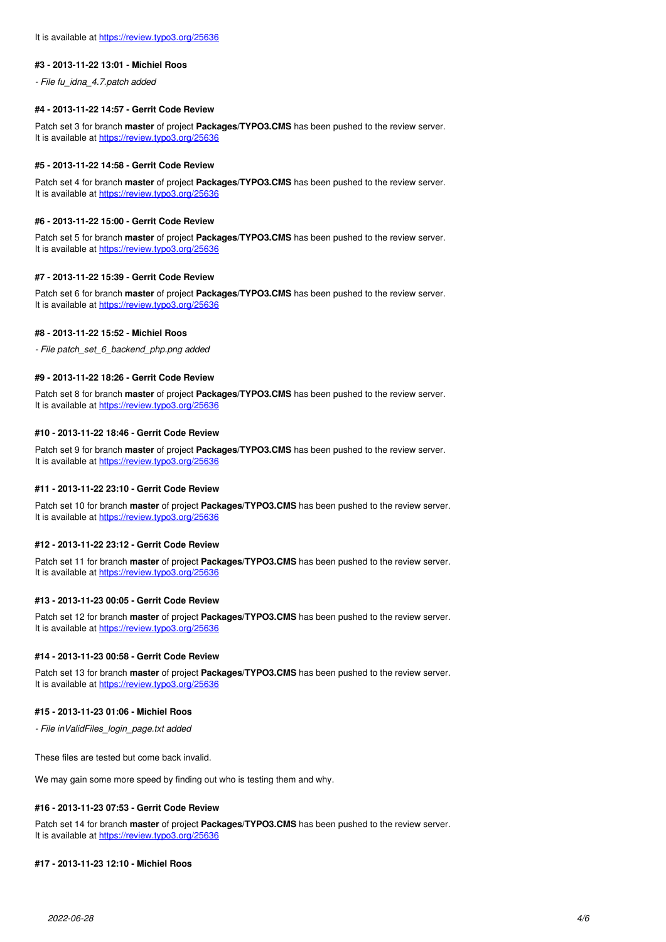#### **#3 - 2013-11-22 13:01 - Michiel Roos**

*- File fu\_idna\_4.7.patch added*

### **#4 - 2013-11-22 14:57 - Gerrit Code Review**

Patch set 3 for branch **master** of project **Packages/TYPO3.CMS** has been pushed to the review server. It is available at <https://review.typo3.org/25636>

#### **#5 - 2013-11-22 14:58 - Gerrit Code Review**

Patch set 4 for branch **master** of project **Packages/TYPO3.CMS** has been pushed to the review server. It is available at <https://review.typo3.org/25636>

#### **#6 - 2013-11-22 15:00 - Gerrit Code Review**

Patch set 5 for branch **master** of project **Packages/TYPO3.CMS** has been pushed to the review server. It is available at <https://review.typo3.org/25636>

#### **#7 - 2013-11-22 15:39 - Gerrit Code Review**

Patch set 6 for branch **master** of project **Packages/TYPO3.CMS** has been pushed to the review server. It is available at <https://review.typo3.org/25636>

#### **#8 - 2013-11-22 15:52 - Michiel Roos**

*- File patch\_set\_6\_backend\_php.png added*

#### **#9 - 2013-11-22 18:26 - Gerrit Code Review**

Patch set 8 for branch **master** of project **Packages/TYPO3.CMS** has been pushed to the review server. It is available at <https://review.typo3.org/25636>

### **#10 - 2013-11-22 18:46 - Gerrit Code Review**

Patch set 9 for branch **master** of project **Packages/TYPO3.CMS** has been pushed to the review server. It is available at <https://review.typo3.org/25636>

#### **#11 - 2013-11-22 23:10 - Gerrit Code Review**

Patch set 10 for branch **master** of project **Packages/TYPO3.CMS** has been pushed to the review server. It is available at <https://review.typo3.org/25636>

## **#12 - 2013-11-22 23:12 - Gerrit Code Review**

Patch set 11 for branch **master** of project **Packages/TYPO3.CMS** has been pushed to the review server. It is available at <https://review.typo3.org/25636>

### **#13 - 2013-11-23 00:05 - Gerrit Code Review**

Patch set 12 for branch **master** of project **Packages/TYPO3.CMS** has been pushed to the review server. It is available at <https://review.typo3.org/25636>

## **#14 - 2013-11-23 00:58 - Gerrit Code Review**

Patch set 13 for branch **master** of project **Packages/TYPO3.CMS** has been pushed to the review server. It is available at <https://review.typo3.org/25636>

#### **#15 - 2013-11-23 01:06 - Michiel Roos**

*- File inValidFiles\_login\_page.txt added*

These files are tested but come back invalid.

We may gain some more speed by finding out who is testing them and why.

### **#16 - 2013-11-23 07:53 - Gerrit Code Review**

Patch set 14 for branch **master** of project **Packages/TYPO3.CMS** has been pushed to the review server. It is available at <https://review.typo3.org/25636>

#### **#17 - 2013-11-23 12:10 - Michiel Roos**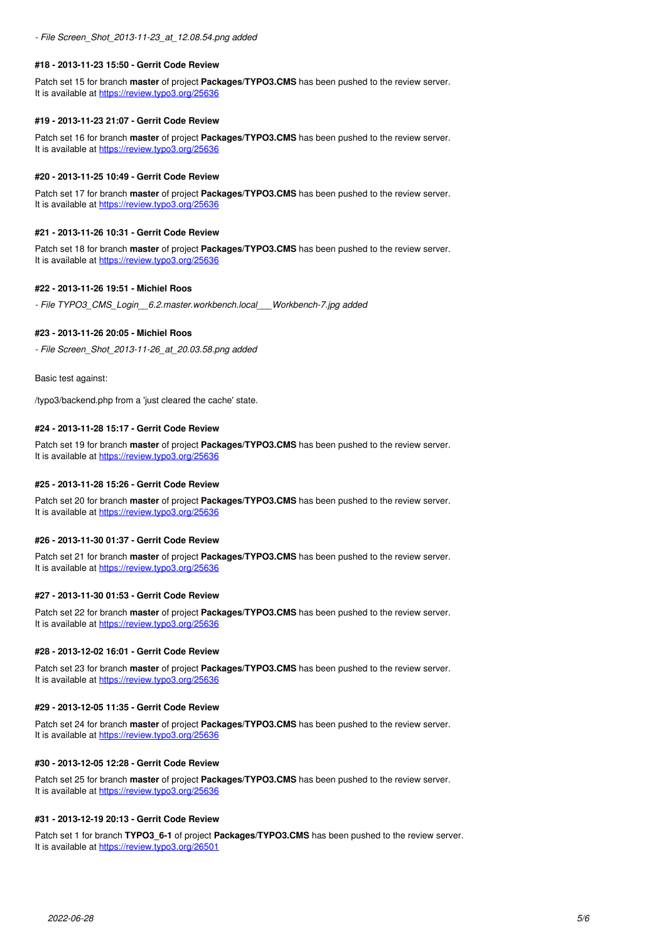#### **#18 - 2013-11-23 15:50 - Gerrit Code Review**

Patch set 15 for branch **master** of project **Packages/TYPO3.CMS** has been pushed to the review server. It is available at <https://review.typo3.org/25636>

#### **#19 - 2013-11-23 21:07 - Gerrit Code Review**

Patch set 16 for branch **master** of project **Packages/TYPO3.CMS** has been pushed to the review server. It is available at <https://review.typo3.org/25636>

#### **#20 - 2013-11-25 10:49 - Gerrit Code Review**

Patch set 17 for branch **master** of project **Packages/TYPO3.CMS** has been pushed to the review server. It is available at <https://review.typo3.org/25636>

## **#21 - 2013-11-26 10:31 - Gerrit Code Review**

Patch set 18 for branch **master** of project **Packages/TYPO3.CMS** has been pushed to the review server. It is available at <https://review.typo3.org/25636>

# **#22 - 2013-11-26 19:51 - Michiel Roos**

*- File TYPO3\_CMS\_Login\_\_6.2.master.workbench.local\_\_\_Workbench-7.jpg added*

#### **#23 - 2013-11-26 20:05 - Michiel Roos**

*- File Screen\_Shot\_2013-11-26\_at\_20.03.58.png added*

Basic test against:

/typo3/backend.php from a 'just cleared the cache' state.

#### **#24 - 2013-11-28 15:17 - Gerrit Code Review**

Patch set 19 for branch **master** of project **Packages/TYPO3.CMS** has been pushed to the review server. It is available at <https://review.typo3.org/25636>

# **#25 - 2013-11-28 15:26 - Gerrit Code Review**

Patch set 20 for branch **master** of project **Packages/TYPO3.CMS** has been pushed to the review server. It is available at <https://review.typo3.org/25636>

### **#26 - 2013-11-30 01:37 - Gerrit Code Review**

Patch set 21 for branch **master** of project **Packages/TYPO3.CMS** has been pushed to the review server. It is available at <https://review.typo3.org/25636>

#### **#27 - 2013-11-30 01:53 - Gerrit Code Review**

Patch set 22 for branch **master** of project **Packages/TYPO3.CMS** has been pushed to the review server. It is available at <https://review.typo3.org/25636>

#### **#28 - 2013-12-02 16:01 - Gerrit Code Review**

Patch set 23 for branch **master** of project **Packages/TYPO3.CMS** has been pushed to the review server. It is available at <https://review.typo3.org/25636>

#### **#29 - 2013-12-05 11:35 - Gerrit Code Review**

Patch set 24 for branch **master** of project **Packages/TYPO3.CMS** has been pushed to the review server. It is available at <https://review.typo3.org/25636>

## **#30 - 2013-12-05 12:28 - Gerrit Code Review**

Patch set 25 for branch **master** of project **Packages/TYPO3.CMS** has been pushed to the review server. It is available at <https://review.typo3.org/25636>

#### **#31 - 2013-12-19 20:13 - Gerrit Code Review**

Patch set 1 for branch **TYPO3 6-1** of project **Packages/TYPO3.CMS** has been pushed to the review server. It is available at <https://review.typo3.org/26501>